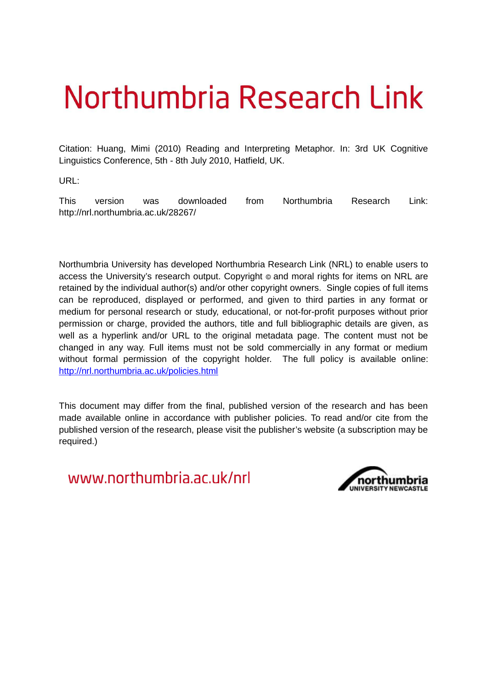## Northumbria Research Link

Citation: Huang, Mimi (2010) Reading and Interpreting Metaphor. In: 3rd UK Cognitive Linguistics Conference, 5th - 8th July 2010, Hatfield, UK.

URL:

This version was downloaded from Northumbria Research Link: http://nrl.northumbria.ac.uk/28267/

Northumbria University has developed Northumbria Research Link (NRL) to enable users to access the University's research output. Copyright  $\circ$  and moral rights for items on NRL are retained by the individual author(s) and/or other copyright owners. Single copies of full items can be reproduced, displayed or performed, and given to third parties in any format or medium for personal research or study, educational, or not-for-profit purposes without prior permission or charge, provided the authors, title and full bibliographic details are given, as well as a hyperlink and/or URL to the original metadata page. The content must not be changed in any way. Full items must not be sold commercially in any format or medium without formal permission of the copyright holder. The full policy is available online: <http://nrl.northumbria.ac.uk/policies.html>

This document may differ from the final, published version of the research and has been made available online in accordance with publisher policies. To read and/or cite from the published version of the research, please visit the publisher's website (a subscription may be required.)

www.northumbria.ac.uk/nrl